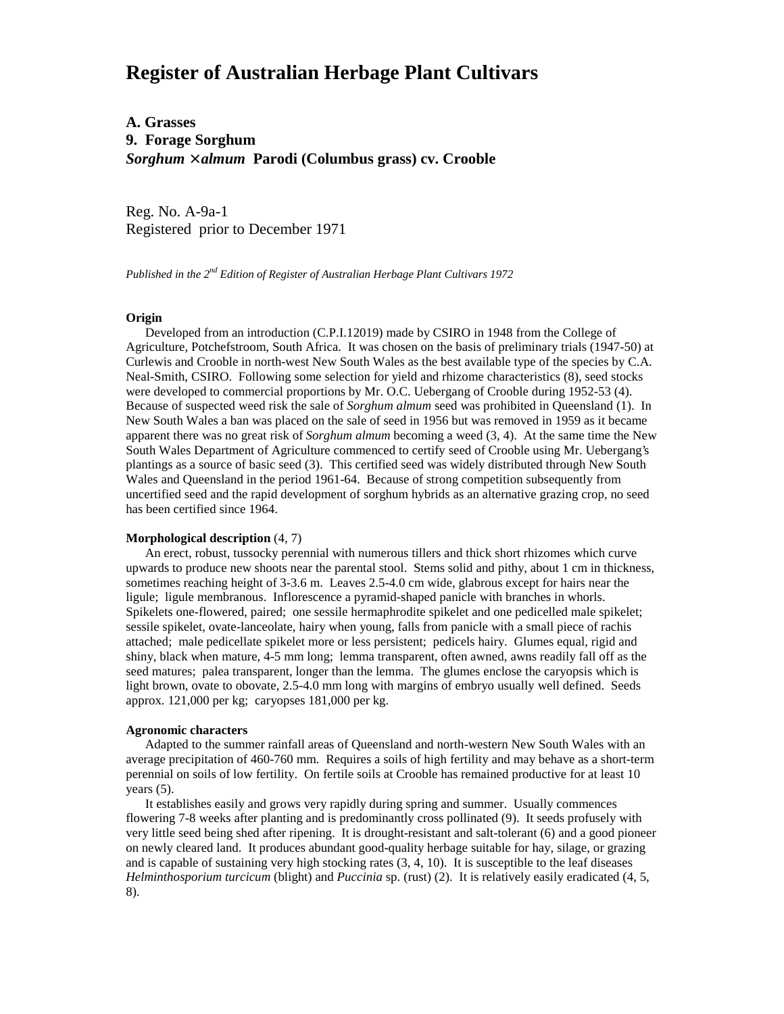# **Register of Australian Herbage Plant Cultivars**

# **A. Grasses 9. Forage Sorghum** *Sorghum* × *almum* **Parodi (Columbus grass) cv. Crooble**

Reg. No. A-9a-1 Registered prior to December 1971

*Published in the 2nd Edition of Register of Australian Herbage Plant Cultivars 1972*

# **Origin**

 Developed from an introduction (C.P.I.12019) made by CSIRO in 1948 from the College of Agriculture, Potchefstroom, South Africa. It was chosen on the basis of preliminary trials (1947-50) at Curlewis and Crooble in north-west New South Wales as the best available type of the species by C.A. Neal-Smith, CSIRO. Following some selection for yield and rhizome characteristics (8), seed stocks were developed to commercial proportions by Mr. O.C. Uebergang of Crooble during 1952-53 (4). Because of suspected weed risk the sale of *Sorghum almum* seed was prohibited in Queensland (1). In New South Wales a ban was placed on the sale of seed in 1956 but was removed in 1959 as it became apparent there was no great risk of *Sorghum almum* becoming a weed (3, 4). At the same time the New South Wales Department of Agriculture commenced to certify seed of Crooble using Mr. Uebergang's plantings as a source of basic seed (3). This certified seed was widely distributed through New South Wales and Queensland in the period 1961-64. Because of strong competition subsequently from uncertified seed and the rapid development of sorghum hybrids as an alternative grazing crop, no seed has been certified since 1964.

#### **Morphological description** (4, 7)

 An erect, robust, tussocky perennial with numerous tillers and thick short rhizomes which curve upwards to produce new shoots near the parental stool. Stems solid and pithy, about 1 cm in thickness, sometimes reaching height of 3-3.6 m. Leaves 2.5-4.0 cm wide, glabrous except for hairs near the ligule; ligule membranous. Inflorescence a pyramid-shaped panicle with branches in whorls. Spikelets one-flowered, paired; one sessile hermaphrodite spikelet and one pedicelled male spikelet; sessile spikelet, ovate-lanceolate, hairy when young, falls from panicle with a small piece of rachis attached; male pedicellate spikelet more or less persistent; pedicels hairy. Glumes equal, rigid and shiny, black when mature, 4-5 mm long; lemma transparent, often awned, awns readily fall off as the seed matures; palea transparent, longer than the lemma. The glumes enclose the caryopsis which is light brown, ovate to obovate, 2.5-4.0 mm long with margins of embryo usually well defined. Seeds approx. 121,000 per kg; caryopses 181,000 per kg.

### **Agronomic characters**

 Adapted to the summer rainfall areas of Queensland and north-western New South Wales with an average precipitation of 460-760 mm. Requires a soils of high fertility and may behave as a short-term perennial on soils of low fertility. On fertile soils at Crooble has remained productive for at least 10 years (5).

 It establishes easily and grows very rapidly during spring and summer. Usually commences flowering 7-8 weeks after planting and is predominantly cross pollinated (9). It seeds profusely with very little seed being shed after ripening. It is drought-resistant and salt-tolerant (6) and a good pioneer on newly cleared land. It produces abundant good-quality herbage suitable for hay, silage, or grazing and is capable of sustaining very high stocking rates (3, 4, 10). It is susceptible to the leaf diseases *Helminthosporium turcicum* (blight) and *Puccinia* sp. (rust) (2). It is relatively easily eradicated (4, 5, 8).